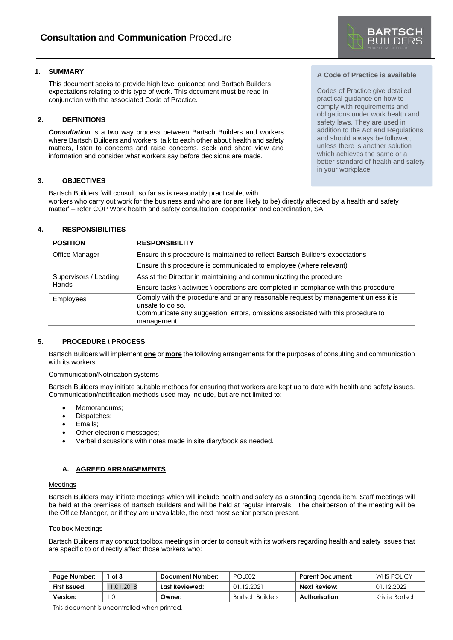

## **1. SUMMARY**

This document seeks to provide high level guidance and Bartsch Builders expectations relating to this type of work. This document must be read in conjunction with the associated Code of Practice.

## **2. DEFINITIONS**

*Consultation* is a two way process between Bartsch Builders and workers where Bartsch Builders and workers: talk to each other about health and safety matters, listen to concerns and raise concerns, seek and share view and information and consider what workers say before decisions are made.

### **3. OBJECTIVES**

Bartsch Builders 'will consult, so far as is reasonably practicable, with workers who carry out work for the business and who are (or are likely to be) directly affected by a health and safety matter' – refer COP Work health and safety consultation, cooperation and coordination, SA.

# **4. RESPONSIBILITIES**

| <b>POSITION</b>       | <b>RESPONSIBILITY</b>                                                                                                                                                                     |  |
|-----------------------|-------------------------------------------------------------------------------------------------------------------------------------------------------------------------------------------|--|
| Office Manager        | Ensure this procedure is maintained to reflect Bartsch Builders expectations                                                                                                              |  |
|                       | Ensure this procedure is communicated to employee (where relevant)                                                                                                                        |  |
| Supervisors / Leading | Assist the Director in maintaining and communicating the procedure                                                                                                                        |  |
|                       | Ensure tasks \ activities \ operations are completed in compliance with this procedure                                                                                                    |  |
| <b>Employees</b>      | Comply with the procedure and or any reasonable request by management unless it is<br>unsafe to do so.<br>Communicate any suggestion, errors, omissions associated with this procedure to |  |
| <b>Hands</b>          | management                                                                                                                                                                                |  |

#### **5. PROCEDURE \ PROCESS**

Bartsch Builders will implement **one** or **more** the following arrangements for the purposes of consulting and communication with its workers.

#### Communication/Notification systems

Bartsch Builders may initiate suitable methods for ensuring that workers are kept up to date with health and safety issues. Communication/notification methods used may include, but are not limited to:

- Memorandums:
- Dispatches;
- Emails;
- Other electronic messages;
- Verbal discussions with notes made in site diary/book as needed.

#### **A. AGREED ARRANGEMENTS**

#### **Meetings**

Bartsch Builders may initiate meetings which will include health and safety as a standing agenda item. Staff meetings will be held at the premises of Bartsch Builders and will be held at regular intervals. The chairperson of the meeting will be the Office Manager, or if they are unavailable, the next most senior person present.

#### Toolbox Meetings

Bartsch Builders may conduct toolbox meetings in order to consult with its workers regarding health and safety issues that are specific to or directly affect those workers who:

| Page Number:                                | of 3       | Document Number: | <b>POL002</b>           | Parent Document: | WHS POLICY      |
|---------------------------------------------|------------|------------------|-------------------------|------------------|-----------------|
| First Issued:                               | 11.01.2018 | Last Reviewed:   | 01.12.2021              | Next Review:     | 01.12.2022      |
| Version:                                    |            | Owner:           | <b>Bartsch Builders</b> | Authorisation:   | Kristie Bartsch |
| This document is uncontrolled when printed. |            |                  |                         |                  |                 |

## **A Code of Practice is available**

Codes of Practice give detailed practical guidance on how to comply with requirements and obligations under work health and safety laws. They are used in addition to the Act and Regulations and should always be followed, unless there is another solution which achieves the same or a better standard of health and safety in your workplace.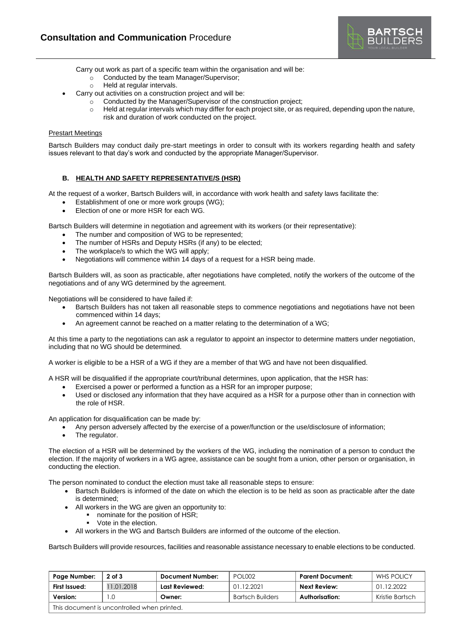

Carry out work as part of a specific team within the organisation and will be:

- o Conducted by the team Manager/Supervisor;
- o Held at regular intervals.
- Carry out activities on a construction project and will be:
	- o Conducted by the Manager/Supervisor of the construction project;
		- $\circ$  Held at regular intervals which may differ for each project site, or as required, depending upon the nature, risk and duration of work conducted on the project.

### Prestart Meetings

Bartsch Builders may conduct daily pre-start meetings in order to consult with its workers regarding health and safety issues relevant to that day's work and conducted by the appropriate Manager/Supervisor.

## **B. HEALTH AND SAFETY REPRESENTATIVE/S (HSR)**

At the request of a worker, Bartsch Builders will, in accordance with work health and safety laws facilitate the:

- Establishment of one or more work groups (WG);
- Election of one or more HSR for each WG.

Bartsch Builders will determine in negotiation and agreement with its workers (or their representative):

- The number and composition of WG to be represented;
- The number of HSRs and Deputy HSRs (if any) to be elected;
- The workplace/s to which the WG will apply;
- Negotiations will commence within 14 days of a request for a HSR being made.

Bartsch Builders will, as soon as practicable, after negotiations have completed, notify the workers of the outcome of the negotiations and of any WG determined by the agreement.

Negotiations will be considered to have failed if:

- Bartsch Builders has not taken all reasonable steps to commence negotiations and negotiations have not been commenced within 14 days;
- An agreement cannot be reached on a matter relating to the determination of a WG;

At this time a party to the negotiations can ask a regulator to appoint an inspector to determine matters under negotiation, including that no WG should be determined.

A worker is eligible to be a HSR of a WG if they are a member of that WG and have not been disqualified.

A HSR will be disqualified if the appropriate court/tribunal determines, upon application, that the HSR has:

- Exercised a power or performed a function as a HSR for an improper purpose;
- Used or disclosed any information that they have acquired as a HSR for a purpose other than in connection with the role of HSR.

An application for disqualification can be made by:

- Any person adversely affected by the exercise of a power/function or the use/disclosure of information;
- The regulator.

The election of a HSR will be determined by the workers of the WG, including the nomination of a person to conduct the election. If the majority of workers in a WG agree, assistance can be sought from a union, other person or organisation, in conducting the election.

The person nominated to conduct the election must take all reasonable steps to ensure:

- Bartsch Builders is informed of the date on which the election is to be held as soon as practicable after the date is determined;
- All workers in the WG are given an opportunity to:
	- nominate for the position of HSR;
	- Vote in the election.
- All workers in the WG and Bartsch Builders are informed of the outcome of the election.

Bartsch Builders will provide resources, facilities and reasonable assistance necessary to enable elections to be conducted.

| Page Number:                                | $2$ of $3$ | <b>Document Number:</b> | <b>POL002</b>           | <b>Parent Document:</b> | <b>WHS POLICY</b> |
|---------------------------------------------|------------|-------------------------|-------------------------|-------------------------|-------------------|
| First Issued:                               | 1.01.2018  | Last Reviewed:          | 01.12.2021              | Next Review:            | 01.12.2022        |
| Version:                                    | $\Omega$   | Owner:                  | <b>Bartsch Builders</b> | Authorisation:          | Kristie Bartsch   |
| This document is uncontrolled when printed. |            |                         |                         |                         |                   |